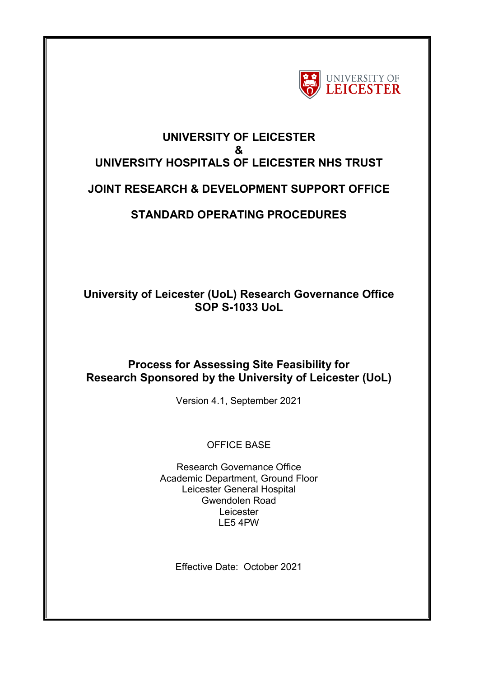

## **UNIVERSITY OF LEICESTER & UNIVERSITY HOSPITALS OF LEICESTER NHS TRUST**

## **JOINT RESEARCH & DEVELOPMENT SUPPORT OFFICE**

# **STANDARD OPERATING PROCEDURES**

## **University of Leicester (UoL) Research Governance Office SOP S-1033 UoL**

## **Process for Assessing Site Feasibility for Research Sponsored by the University of Leicester (UoL)**

Version 4.1, September 2021

OFFICE BASE

Research Governance Office Academic Department, Ground Floor Leicester General Hospital Gwendolen Road Leicester LE5 4PW

Effective Date: October 2021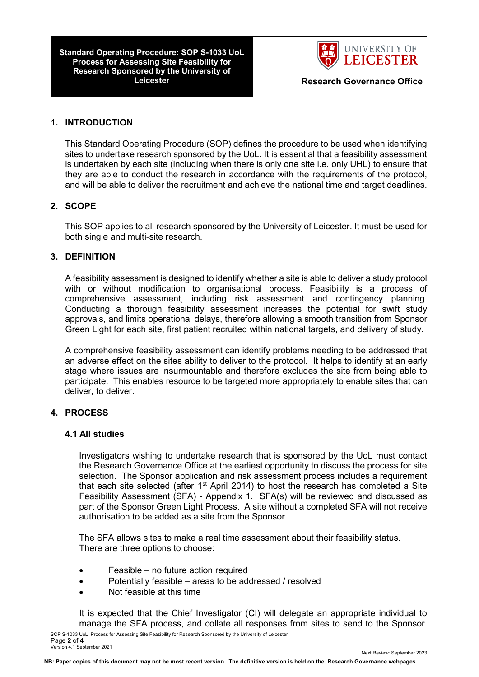**Standard Operating Procedure: SOP S-1033 UoL Process for Assessing Site Feasibility for Research Sponsored by the University of** 



#### **1. INTRODUCTION**

This Standard Operating Procedure (SOP) defines the procedure to be used when identifying sites to undertake research sponsored by the UoL. It is essential that a feasibility assessment is undertaken by each site (including when there is only one site i.e. only UHL) to ensure that they are able to conduct the research in accordance with the requirements of the protocol, and will be able to deliver the recruitment and achieve the national time and target deadlines.

#### **2. SCOPE**

This SOP applies to all research sponsored by the University of Leicester. It must be used for both single and multi-site research.

### **3. DEFINITION**

A feasibility assessment is designed to identify whether a site is able to deliver a study protocol with or without modification to organisational process. Feasibility is a process of comprehensive assessment, including risk assessment and contingency planning. Conducting a thorough feasibility assessment increases the potential for swift study approvals, and limits operational delays, therefore allowing a smooth transition from Sponsor Green Light for each site, first patient recruited within national targets, and delivery of study.

A comprehensive feasibility assessment can identify problems needing to be addressed that an adverse effect on the sites ability to deliver to the protocol. It helps to identify at an early stage where issues are insurmountable and therefore excludes the site from being able to participate. This enables resource to be targeted more appropriately to enable sites that can deliver, to deliver.

#### **4. PROCESS**

#### **4.1 All studies**

Investigators wishing to undertake research that is sponsored by the UoL must contact the Research Governance Office at the earliest opportunity to discuss the process for site selection. The Sponsor application and risk assessment process includes a requirement that each site selected (after  $1<sup>st</sup>$  April 2014) to host the research has completed a Site Feasibility Assessment (SFA) - Appendix 1. SFA(s) will be reviewed and discussed as part of the Sponsor Green Light Process. A site without a completed SFA will not receive authorisation to be added as a site from the Sponsor.

The SFA allows sites to make a real time assessment about their feasibility status. There are three options to choose:

- Feasible no future action required
- Potentially feasible areas to be addressed / resolved
- Not feasible at this time

It is expected that the Chief Investigator (CI) will delegate an appropriate individual to manage the SFA process, and collate all responses from sites to send to the Sponsor.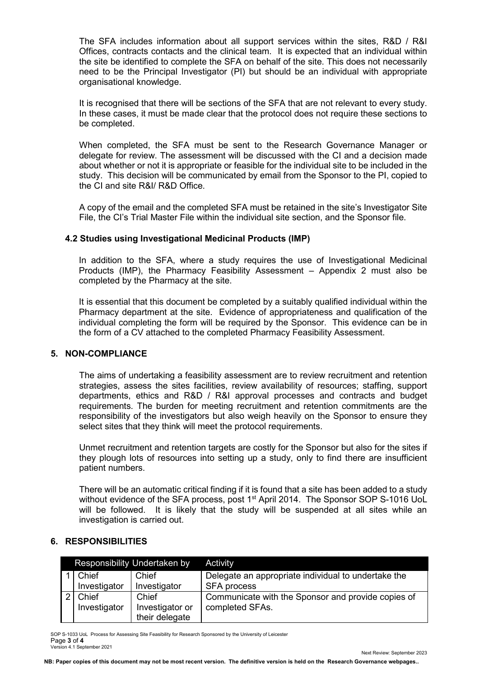The SFA includes information about all support services within the sites, R&D / R&I Offices, contracts contacts and the clinical team. It is expected that an individual within the site be identified to complete the SFA on behalf of the site. This does not necessarily need to be the Principal Investigator (PI) but should be an individual with appropriate organisational knowledge.

It is recognised that there will be sections of the SFA that are not relevant to every study. In these cases, it must be made clear that the protocol does not require these sections to be completed.

When completed, the SFA must be sent to the Research Governance Manager or delegate for review. The assessment will be discussed with the CI and a decision made about whether or not it is appropriate or feasible for the individual site to be included in the study. This decision will be communicated by email from the Sponsor to the PI, copied to the CI and site R&I/ R&D Office.

A copy of the email and the completed SFA must be retained in the site's Investigator Site File, the CI's Trial Master File within the individual site section, and the Sponsor file.

#### **4.2 Studies using Investigational Medicinal Products (IMP)**

In addition to the SFA, where a study requires the use of Investigational Medicinal Products (IMP), the Pharmacy Feasibility Assessment – Appendix 2 must also be completed by the Pharmacy at the site.

It is essential that this document be completed by a suitably qualified individual within the Pharmacy department at the site. Evidence of appropriateness and qualification of the individual completing the form will be required by the Sponsor. This evidence can be in the form of a CV attached to the completed Pharmacy Feasibility Assessment.

#### **5. NON-COMPLIANCE**

The aims of undertaking a feasibility assessment are to review recruitment and retention strategies, assess the sites facilities, review availability of resources; staffing, support departments, ethics and R&D / R&I approval processes and contracts and budget requirements. The burden for meeting recruitment and retention commitments are the responsibility of the investigators but also weigh heavily on the Sponsor to ensure they select sites that they think will meet the protocol requirements.

Unmet recruitment and retention targets are costly for the Sponsor but also for the sites if they plough lots of resources into setting up a study, only to find there are insufficient patient numbers.

There will be an automatic critical finding if it is found that a site has been added to a study without evidence of the SFA process, post 1<sup>st</sup> April 2014. The Sponsor SOP S-1016 UoL will be followed. It is likely that the study will be suspended at all sites while an investigation is carried out.

#### **6. RESPONSIBILITIES**

| Responsibility Undertaken by |                       |                                            | <b>Activity</b>                                                       |
|------------------------------|-----------------------|--------------------------------------------|-----------------------------------------------------------------------|
|                              | Chief                 | Chief                                      | Delegate an appropriate individual to undertake the                   |
|                              | Investigator          | Investigator                               | <b>SFA</b> process                                                    |
|                              | Chief<br>Investigator | Chief<br>Investigator or<br>their delegate | Communicate with the Sponsor and provide copies of<br>completed SFAs. |

SOP S-1033 UoL Process for Assessing Site Feasibility for Research Sponsored by the University of Leicester Page **3** of **4** Version 4.1 September 2021

Next Review: September 2023

**NB: Paper copies of this document may not be most recent version. The definitive version is held on the Research Governance webpages..**